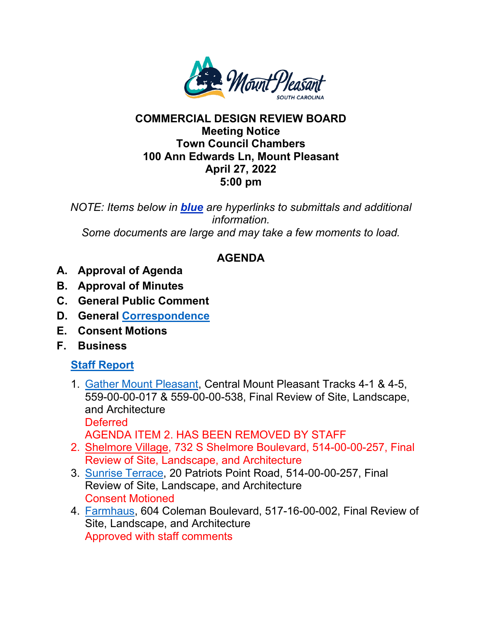

## **COMMERCIAL DESIGN REVIEW BOARD Meeting Notice Town Council Chambers 100 Ann Edwards Ln, Mount Pleasant April 27, 2022 5:00 pm**

*NOTE: Items below in blue are hyperlinks to submittals and additional information. Some documents are large and may take a few moments to load.* 

## **AGENDA**

- **A. Approval of Agenda**
- **B. Approval of Minutes**
- **C. General Public Comment**
- **D. General [Correspondence](https://www.tompsc.com/DocumentCenter/View/41453/Combined-42622)**
- **E. Consent Motions**
- **F. Business**

## **[Staff Report](https://www.tompsc.com/DocumentCenter/View/41454/April-Staff-Report)**

- 1. [Gather Mount Pleasant,](https://www.tompsc.com/DocumentCenter/View/41321/Gather-MTP-SUB-42722) Central Mount Pleasant Tracks 4-1 & 4-5, 559-00-00-017 & 559-00-00-538, Final Review of Site, Landscape, and Architecture **Deferred** AGENDA ITEM 2. HAS BEEN REMOVED BY STAFF
- 2. [Shelmore Village,](https://www.tompsc.com/DocumentCenter/View/41324/Shelmore-Village-SUB-42722) 732 S Shelmore Boulevard, 514-00-00-257, Final Review of Site, Landscape, and Architecture
- 3. [Sunrise Terrace,](https://www.tompsc.com/DocumentCenter/View/41325/Sunrise-Terrace-SUB-42722) 20 Patriots Point Road, 514-00-00-257, Final Review of Site, Landscape, and Architecture Consent Motioned
- 4. [Farmhaus,](https://www.tompsc.com/DocumentCenter/View/41320/Farmhaus-SUB-42722) 604 Coleman Boulevard, 517-16-00-002, Final Review of Site, Landscape, and Architecture Approved with staff comments